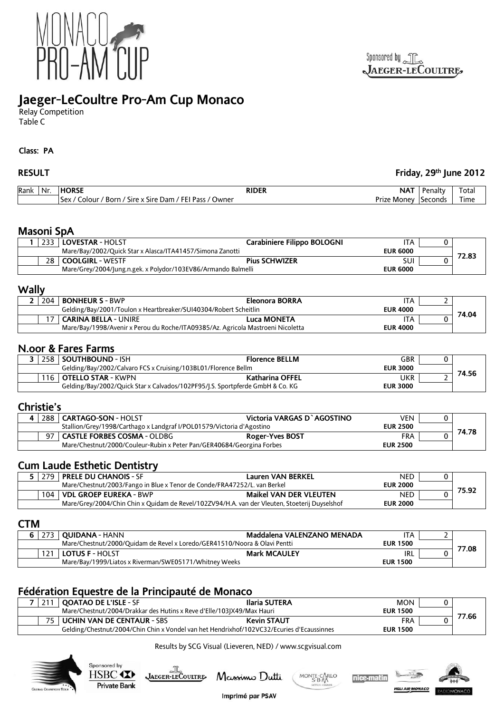

# **Jaeger-LeCoultre Pro-Am Cup Monaco**

Relay Competition Table C

#### **Class: PA**

## **RESULT Friday, 29th June 2012**

| Rank | Nr. | <b>HORSE</b>                                                                                         | <b>RIDER</b> | NA <sub>1</sub> | Penalty | Totai |
|------|-----|------------------------------------------------------------------------------------------------------|--------------|-----------------|---------|-------|
|      |     | / FEI Pass /<br>' Owner<br>' Sire x Sire Dam /<br>Colour /<br>' Born /<br>Sex.<br><b>Prize Money</b> |              | Seconds         | Time    |       |

## **Masoni SpA**

|                                                                              |  | LOVESTAR - HOLST                                              | Carabiniere Filippo BOLOGNI | ITA             |       |
|------------------------------------------------------------------------------|--|---------------------------------------------------------------|-----------------------------|-----------------|-------|
| Mare/Bay/2002/Quick Star x Alasca/ITA41457/Simona Zanotti<br><b>EUR 6000</b> |  |                                                               |                             |                 |       |
|                                                                              |  | 28 COOLGIRL - WESTF                                           | <b>Pius SCHWIZER</b>        | SUI             | 72.83 |
|                                                                              |  | Mare/Grey/2004/Jung.n.gek. x Polydor/103EV86/Armando Balmelli |                             | <b>EUR 6000</b> |       |

## **Wally**

| 204                                                                                                | <b>BONHEUR S - BWP</b>      | Eleonora BORRA | ITA |  |       |
|----------------------------------------------------------------------------------------------------|-----------------------------|----------------|-----|--|-------|
| Gelding/Bay/2001/Toulon x Heartbreaker/SUI40304/Robert Scheitlin<br><b>EUR 4000</b>                |                             |                |     |  | 74.04 |
|                                                                                                    | <b>CARINA BELLA - UNIRE</b> | Luca MONETA    | ITA |  |       |
| Mare/Bay/1998/Avenir x Perou du Roche/ITA09385/Az. Agricola Mastroeni Nicoletta<br><b>EUR 4000</b> |                             |                |     |  |       |

## **N.oor & Fares Farms**

|                                                                                                  | 258 SOUTHBOUND - ISH     | <b>Florence BELLM</b> | GBR             |  |       |
|--------------------------------------------------------------------------------------------------|--------------------------|-----------------------|-----------------|--|-------|
| Gelding/Bay/2002/Calvaro FCS x Cruising/103BL01/Florence Bellm                                   |                          |                       | <b>EUR 3000</b> |  | 74.56 |
|                                                                                                  | 116   OTELLO STAR - KWPN | Katharina OFFEL       | UKR             |  |       |
| Gelding/Bay/2002/Quick Star x Calvados/102PF95/J.S. Sportpferde GmbH & Co. KG<br><b>EUR 3000</b> |                          |                       |                 |  |       |

## **Christie's**

| 288                                                                   | <b>CARTAGO-SON - HOLST</b>  | Victoria VARGAS D'AGOSTINO | VEN             |       |
|-----------------------------------------------------------------------|-----------------------------|----------------------------|-----------------|-------|
| Stallion/Grey/1998/Carthago x Landgraf I/POL01579/Victoria d'Agostino |                             |                            |                 |       |
|                                                                       | CASTLE FORBES COSMA - OLDBG | <b>Roger-Yves BOST</b>     | FRA             | 74.78 |
| Mare/Chestnut/2000/Couleur-Rubin x Peter Pan/GER40684/Georgina Forbes |                             |                            | <b>EUR 2500</b> |       |

## **Cum Laude Esthetic Dentistry**

|                                                                                               | <b>PRELE DU CHANOIS - SF</b> | Lauren VAN BERKEL             | NED             |  |
|-----------------------------------------------------------------------------------------------|------------------------------|-------------------------------|-----------------|--|
| Mare/Chestnut/2003/Fango in Blue x Tenor de Conde/FRA47252/L, van Berkel                      |                              |                               | <b>EUR 2000</b> |  |
|                                                                                               | 104   VDL GROEP EUREKA - BWP | <b>Maikel VAN DER VLEUTEN</b> | <b>NED</b>      |  |
| Mare/Grey/2004/Chin Chin x Quidam de Revel/102ZV94/H.A. van der Vleuten, Stoeterij Duyselshof |                              |                               | <b>EUR 2000</b> |  |

## **CTM**

|                                                                           |  | 273   OUIDANA - HANN                                   | Maddalena VALENZANO MENADA | ۱TA             |  |
|---------------------------------------------------------------------------|--|--------------------------------------------------------|----------------------------|-----------------|--|
| Mare/Chestnut/2000/Ouidam de Revel x Loredo/GER41510/Noora & Olavi Pentti |  |                                                        | <b>EUR 1500</b>            | 77.08           |  |
|                                                                           |  | <b>LOTUS F - HOLST</b>                                 | <b>Mark MCAULEY</b>        | IRL             |  |
|                                                                           |  | Mare/Bay/1999/Liatos x Riverman/SWE05171/Whitney Weeks |                            | <b>EUR 1500</b> |  |

## **Fédération Equestre de la Principauté de Monaco**

| <b>QOATAO DE L'ISLE - SF</b>                                                              | Ilaria SUTERA      | MON             |       |
|-------------------------------------------------------------------------------------------|--------------------|-----------------|-------|
| Mare/Chestnut/2004/Drakkar des Hutins x Reve d'Elle/103JX49/Max Hauri                     |                    | <b>EUR 1500</b> |       |
| l UCHIN VAN DE CENTAUR - SBS                                                              | <b>Kevin STAUT</b> | <b>FRA</b>      | 77.66 |
| Gelding/Chestnut/2004/Chin Chin x Vondel van het Hendrixhof/102VC32/Ecuries d'Ecaussinnes |                    | <b>EUR 1500</b> |       |

#### Results by SCG Visual (Lieveren, NED) / www.scgvisual.com